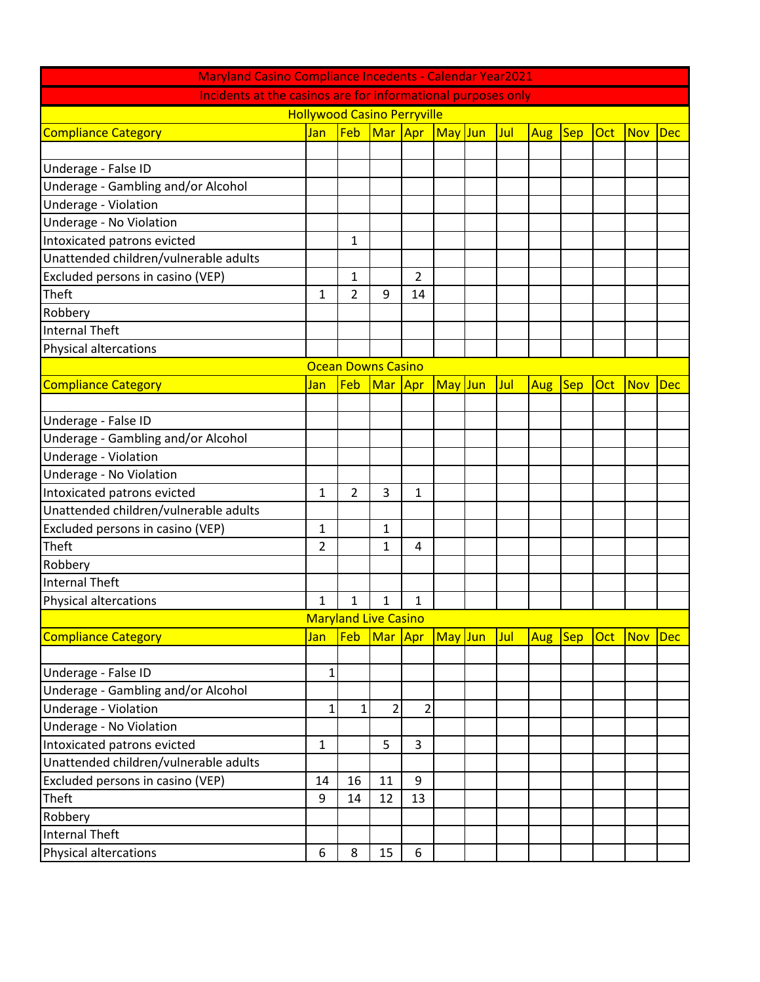| <b>Maryland Casino Compliance Incedents - Calendar Year2021</b> |              |                |                             |     |         |  |     |     |         |            |            |            |
|-----------------------------------------------------------------|--------------|----------------|-----------------------------|-----|---------|--|-----|-----|---------|------------|------------|------------|
| Incidents at the casinos are for informational purposes only    |              |                |                             |     |         |  |     |     |         |            |            |            |
| <b>Hollywood Casino Perryville</b>                              |              |                |                             |     |         |  |     |     |         |            |            |            |
| <b>Compliance Category</b>                                      | Jan          | Feb            | Mar Apr                     |     | May Jun |  | Jul | Aug | $ $ Sep | Oct        | <b>Nov</b> | <b>Dec</b> |
|                                                                 |              |                |                             |     |         |  |     |     |         |            |            |            |
| Underage - False ID                                             |              |                |                             |     |         |  |     |     |         |            |            |            |
| Underage - Gambling and/or Alcohol                              |              |                |                             |     |         |  |     |     |         |            |            |            |
| Underage - Violation                                            |              |                |                             |     |         |  |     |     |         |            |            |            |
| Underage - No Violation                                         |              |                |                             |     |         |  |     |     |         |            |            |            |
| Intoxicated patrons evicted                                     |              | 1              |                             |     |         |  |     |     |         |            |            |            |
| Unattended children/vulnerable adults                           |              |                |                             |     |         |  |     |     |         |            |            |            |
| Excluded persons in casino (VEP)                                |              | 1              |                             | 2   |         |  |     |     |         |            |            |            |
| Theft                                                           | $\mathbf{1}$ | $\overline{2}$ | 9                           | 14  |         |  |     |     |         |            |            |            |
| Robbery                                                         |              |                |                             |     |         |  |     |     |         |            |            |            |
| Internal Theft                                                  |              |                |                             |     |         |  |     |     |         |            |            |            |
| <b>Physical altercations</b>                                    |              |                |                             |     |         |  |     |     |         |            |            |            |
| <b>Ocean Downs Casino</b>                                       |              |                |                             |     |         |  |     |     |         |            |            |            |
| <b>Compliance Category</b>                                      | Jan          | Feb            | Mar                         | Apr | May Jun |  | Jul | Aug | $ $ Sep | Oct        | <b>Nov</b> | <b>Dec</b> |
|                                                                 |              |                |                             |     |         |  |     |     |         |            |            |            |
| Underage - False ID                                             |              |                |                             |     |         |  |     |     |         |            |            |            |
| Underage - Gambling and/or Alcohol                              |              |                |                             |     |         |  |     |     |         |            |            |            |
| Underage - Violation                                            |              |                |                             |     |         |  |     |     |         |            |            |            |
| Underage - No Violation                                         |              |                |                             |     |         |  |     |     |         |            |            |            |
| Intoxicated patrons evicted                                     | 1            | 2              | 3                           | 1   |         |  |     |     |         |            |            |            |
| Unattended children/vulnerable adults                           |              |                |                             |     |         |  |     |     |         |            |            |            |
| Excluded persons in casino (VEP)                                | 1            |                | $\mathbf{1}$                |     |         |  |     |     |         |            |            |            |
| Theft                                                           | 2            |                | 1                           | 4   |         |  |     |     |         |            |            |            |
| Robbery                                                         |              |                |                             |     |         |  |     |     |         |            |            |            |
| Internal Theft                                                  |              |                |                             |     |         |  |     |     |         |            |            |            |
| Physical altercations                                           | 1            | 1              | 1                           | 1   |         |  |     |     |         |            |            |            |
|                                                                 |              |                | <b>Maryland Live Casino</b> |     |         |  |     |     |         |            |            |            |
| <b>Compliance Category</b>                                      | Jan          | Feb            | Mar                         | Apr | May Jun |  | Jul | Aug | $ $ Sep | <b>Oct</b> | <b>Nov</b> | <b>Dec</b> |
|                                                                 |              |                |                             |     |         |  |     |     |         |            |            |            |
| Underage - False ID                                             | 1            |                |                             |     |         |  |     |     |         |            |            |            |
| Underage - Gambling and/or Alcohol                              |              |                |                             |     |         |  |     |     |         |            |            |            |
| Underage - Violation                                            | 1            | 1              | $\overline{2}$              | 2   |         |  |     |     |         |            |            |            |
| Underage - No Violation                                         |              |                |                             |     |         |  |     |     |         |            |            |            |
| Intoxicated patrons evicted                                     | 1            |                | 5                           | 3   |         |  |     |     |         |            |            |            |
| Unattended children/vulnerable adults                           |              |                |                             |     |         |  |     |     |         |            |            |            |
| Excluded persons in casino (VEP)                                | 14           | 16             | 11                          | 9   |         |  |     |     |         |            |            |            |
| Theft                                                           | 9            | 14             | 12                          | 13  |         |  |     |     |         |            |            |            |
| Robbery                                                         |              |                |                             |     |         |  |     |     |         |            |            |            |
| <b>Internal Theft</b>                                           |              |                |                             |     |         |  |     |     |         |            |            |            |
| Physical altercations                                           | 6            | 8              | 15                          | 6   |         |  |     |     |         |            |            |            |